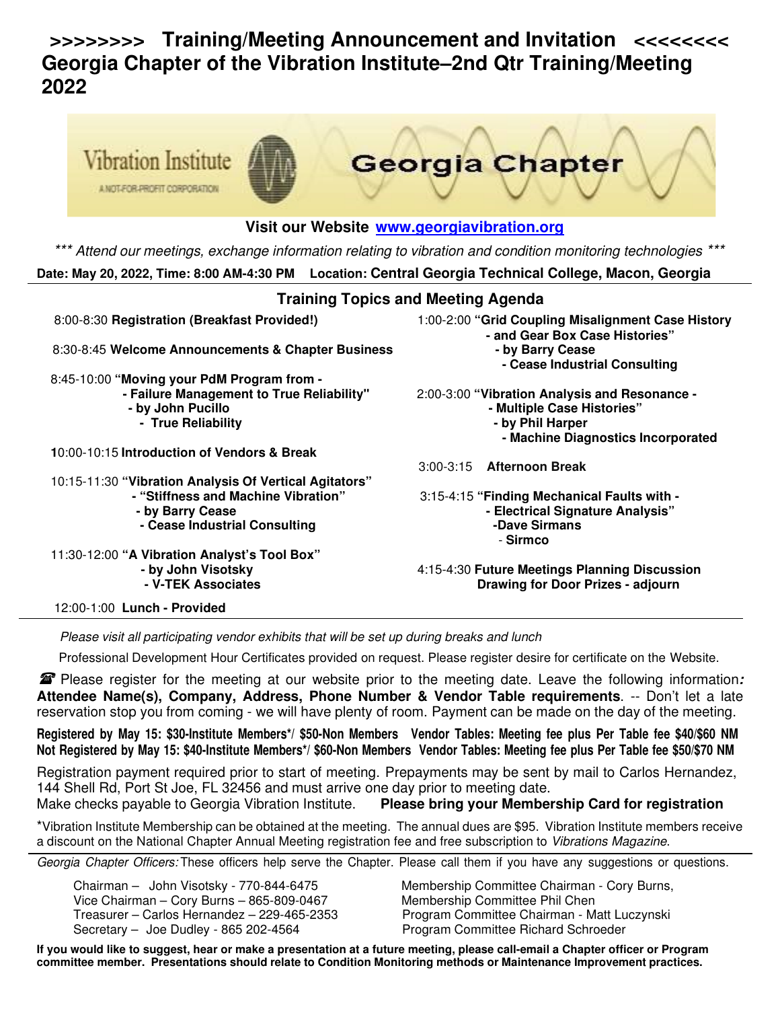# **>>>>>>>> Training/Meeting Announcement and Invitation <<<<<<<< Georgia Chapter of the Vibration Institute–2nd Qtr Training/Meeting 2022**



#### **Visit our Website www.georgiavibration.org**

\*\*\* Attend our meetings, exchange information relating to vibration and condition monitoring technologies **Date: May 20, 2022, Time: 8:00 AM-4:30 PM Location: Central Georgia Technical College, Macon, Georgia** 

#### **Training Topics and Meeting Agenda**

8:00-8:30 **Registration (Breakfast Provided!)** 1:00-2:00 **"Grid Coupling Misalignment Case History - and Gear Box Case Histories"**  8:30-8:45 Welcome Announcements & Chapter Business **- by Barry Cease - Cease Industrial Consulting**  8:45-10:00 **"Moving your PdM Program from - - Failure Management to True Reliability"** 2:00-3:00 **"Vibration Analysis and Resonance - - by John Pucillo 19th Case Histories" - Multiple Case Histories - True Reliability by Phil Harper by Phil Harper by Phil Harper by Phil Harper - Machine Diagnostics Incorporated 1**0:00-10:15 **Introduction of Vendors & Break**  10:15-11:30 **"Vibration Analysis Of Vertical Agitators"**  3:00-3:15 **Afternoon Break - "Stiffness and Machine Vibration"** 3:15-4:15 **"Finding Mechanical Faults with -**  - by Barry Cease **- Electrical Signature Analysis**"<br>- Cease Industrial Consulting - **Electrical Signature Analysis - Cease Industrial Consulting** - **Sirmco**  11:30-12:00 **"A Vibration Analyst's Tool Box" - by John Visotsky** 4:15-4:30 **Future Meetings Planning Discussion Drawing for Door Prizes - adjourn** 

12:00-1:00 **Lunch - Provided** 

Please visit all participating vendor exhibits that will be set up during breaks and lunch

Professional Development Hour Certificates provided on request. Please register desire for certificate on the Website.

 Please register for the meeting at our website prior to the meeting date. Leave the following information**: Attendee Name(s), Company, Address, Phone Number & Vendor Table requirements**. -- Don't let a late reservation stop you from coming - we will have plenty of room. Payment can be made on the day of the meeting.

**Registered by May 15: \$30-Institute Members\*/ \$50-Non Members Vendor Tables: Meeting fee plus Per Table fee \$40/\$60 NM Not Registered by May 15: \$40-Institute Members\*/ \$60-Non Members Vendor Tables: Meeting fee plus Per Table fee \$50/\$70 NM**

Registration payment required prior to start of meeting. Prepayments may be sent by mail to Carlos Hernandez, 144 Shell Rd, Port St Joe, FL 32456 and must arrive one day prior to meeting date. Make checks payable to Georgia Vibration Institute. **Please bring your Membership Card for registration** 

\*Vibration Institute Membership can be obtained at the meeting. The annual dues are \$95. Vibration Institute members receive a discount on the National Chapter Annual Meeting registration fee and free subscription to Vibrations Magazine.

Georgia Chapter Officers: These officers help serve the Chapter. Please call them if you have any suggestions or questions.

Vice Chairman – Cory Burns – 865-809-0467 Membership Committee Phil Chen Secretary – Joe Dudley - 865 202-4564 Program Committee Richard Schroeder

Chairman – John Visotsky - 770-844-6475 Membership Committee Chairman - Cory Burns, Treasurer – Carlos Hernandez – 229-465-2353 Program Committee Chairman - Matt Luczynski

**If you would like to suggest, hear or make a presentation at a future meeting, please call-email a Chapter officer or Program committee member. Presentations should relate to Condition Monitoring methods or Maintenance Improvement practices.**